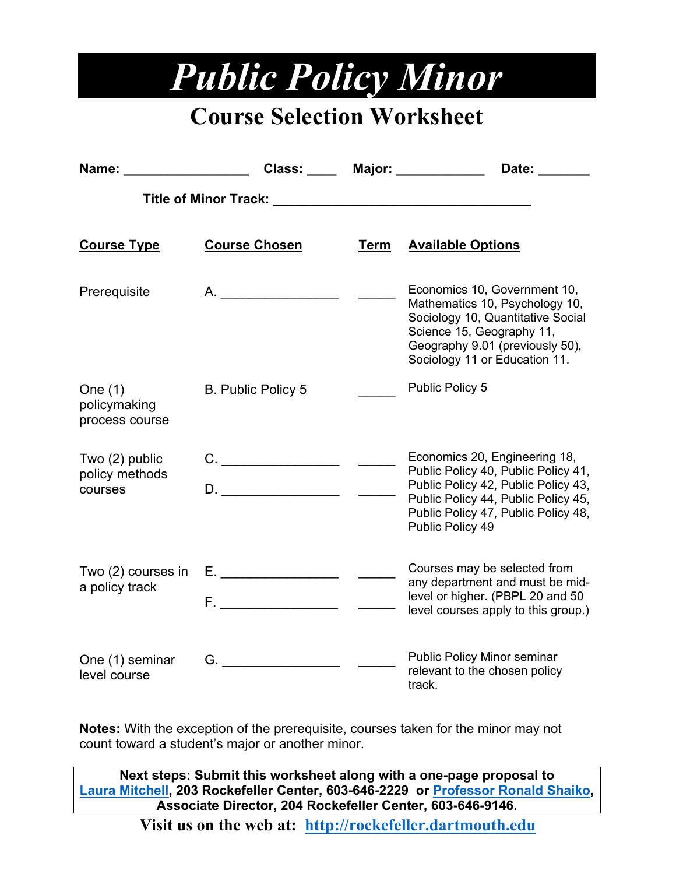## *Public Policy Minor*

## **Course Selection Worksheet**

| Name:                                         |                           |      | Class: _____ Major: ___________<br>Date:                                                                                                                                                                      |
|-----------------------------------------------|---------------------------|------|---------------------------------------------------------------------------------------------------------------------------------------------------------------------------------------------------------------|
|                                               |                           |      |                                                                                                                                                                                                               |
| <b>Course Type</b>                            | <b>Course Chosen</b>      | Term | <b>Available Options</b>                                                                                                                                                                                      |
| Prerequisite                                  | A.                        |      | Economics 10, Government 10,<br>Mathematics 10, Psychology 10,<br>Sociology 10, Quantitative Social<br>Science 15, Geography 11,<br>Geography 9.01 (previously 50),<br>Sociology 11 or Education 11.          |
| One $(1)$<br>policymaking<br>process course   | <b>B. Public Policy 5</b> |      | Public Policy 5                                                                                                                                                                                               |
| Two $(2)$ public<br>policy methods<br>courses | D.                        |      | Economics 20, Engineering 18,<br>Public Policy 40, Public Policy 41,<br>Public Policy 42, Public Policy 43,<br>Public Policy 44, Public Policy 45,<br>Public Policy 47, Public Policy 48,<br>Public Policy 49 |
| Two (2) courses in<br>a policy track          | E. ___________________    |      | Courses may be selected from<br>any department and must be mid-<br>level or higher. (PBPL 20 and 50<br>level courses apply to this group.)                                                                    |
| One (1) seminar<br>level course               | G.                        |      | <b>Public Policy Minor seminar</b><br>relevant to the chosen policy<br>track.                                                                                                                                 |

**Notes:** With the exception of the prerequisite, courses taken for the minor may not count toward a student's major or another minor.

**Next steps: Submit this worksheet along with a one-page proposal to [Laura Mitchell,](mailto:Laura.M.Mitchell@Dartmouth.edu?subject=Public%20Policy%20Minor) 203 Rockefeller Center, 603-646-2229 or [Professor Ronald](mailto:Ronald.G.Shaiko@dartmouth.edu?subject=Public%20Policy%20Minor%20) Shaiko, Associate Director, 204 Rockefeller Center, 603-646-9146.**

**Visit us on the web at: [http://rockefeller.dartmouth.edu](http://rockefeller.dartmouth.edu/)**